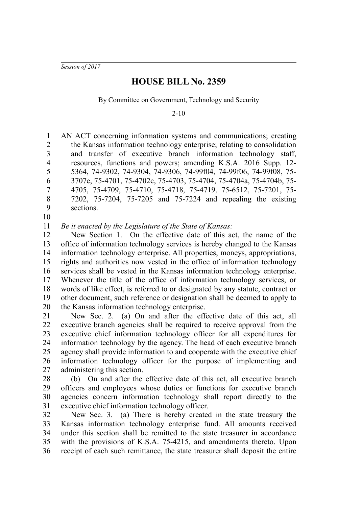*Session of 2017*

## **HOUSE BILL No. 2359**

By Committee on Government, Technology and Security

2-10

AN ACT concerning information systems and communications; creating the Kansas information technology enterprise; relating to consolidation and transfer of executive branch information technology staff, resources, functions and powers; amending K.S.A. 2016 Supp. 12- 5364, 74-9302, 74-9304, 74-9306, 74-99f04, 74-99f06, 74-99f08, 75- 3707e, 75-4701, 75-4702c, 75-4703, 75-4704, 75-4704a, 75-4704b, 75- 4705, 75-4709, 75-4710, 75-4718, 75-4719, 75-6512, 75-7201, 75- 7202, 75-7204, 75-7205 and 75-7224 and repealing the existing sections. 1 2 3 4 5 6 7 8 9

10

*Be it enacted by the Legislature of the State of Kansas:* 11

New Section 1. On the effective date of this act, the name of the office of information technology services is hereby changed to the Kansas information technology enterprise. All properties, moneys, appropriations, rights and authorities now vested in the office of information technology services shall be vested in the Kansas information technology enterprise. Whenever the title of the office of information technology services, or words of like effect, is referred to or designated by any statute, contract or other document, such reference or designation shall be deemed to apply to the Kansas information technology enterprise. 12 13 14 15 16 17 18 19 20

New Sec. 2. (a) On and after the effective date of this act, all executive branch agencies shall be required to receive approval from the executive chief information technology officer for all expenditures for information technology by the agency. The head of each executive branch agency shall provide information to and cooperate with the executive chief information technology officer for the purpose of implementing and administering this section. 21 22 23 24 25 26 27

(b) On and after the effective date of this act, all executive branch officers and employees whose duties or functions for executive branch agencies concern information technology shall report directly to the executive chief information technology officer. 28 29 30 31

New Sec. 3. (a) There is hereby created in the state treasury the Kansas information technology enterprise fund. All amounts received under this section shall be remitted to the state treasurer in accordance with the provisions of K.S.A. 75-4215, and amendments thereto. Upon receipt of each such remittance, the state treasurer shall deposit the entire 32 33 34 35 36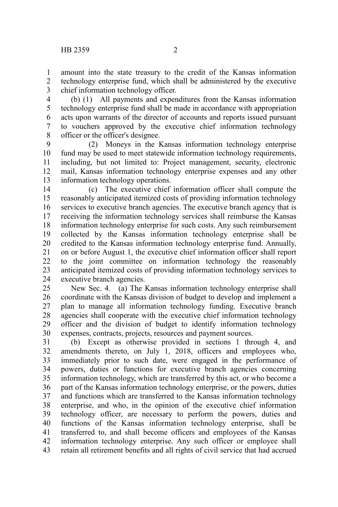amount into the state treasury to the credit of the Kansas information technology enterprise fund, which shall be administered by the executive chief information technology officer. 1 2 3

(b) (1) All payments and expenditures from the Kansas information technology enterprise fund shall be made in accordance with appropriation acts upon warrants of the director of accounts and reports issued pursuant to vouchers approved by the executive chief information technology officer or the officer's designee. 4 5 6 7 8

(2) Moneys in the Kansas information technology enterprise fund may be used to meet statewide information technology requirements, including, but not limited to: Project management, security, electronic mail, Kansas information technology enterprise expenses and any other information technology operations. 9 10 11 12 13

(c) The executive chief information officer shall compute the reasonably anticipated itemized costs of providing information technology services to executive branch agencies. The executive branch agency that is receiving the information technology services shall reimburse the Kansas information technology enterprise for such costs. Any such reimbursement collected by the Kansas information technology enterprise shall be credited to the Kansas information technology enterprise fund. Annually, on or before August 1, the executive chief information officer shall report to the joint committee on information technology the reasonably anticipated itemized costs of providing information technology services to executive branch agencies. 14 15 16 17 18 19 20 21 22 23 24

New Sec. 4. (a) The Kansas information technology enterprise shall coordinate with the Kansas division of budget to develop and implement a plan to manage all information technology funding. Executive branch agencies shall cooperate with the executive chief information technology officer and the division of budget to identify information technology expenses, contracts, projects, resources and payment sources. 25 26 27 28 29 30

(b) Except as otherwise provided in sections 1 through 4, and amendments thereto, on July 1, 2018, officers and employees who, immediately prior to such date, were engaged in the performance of powers, duties or functions for executive branch agencies concerning information technology, which are transferred by this act, or who become a part of the Kansas information technology enterprise, or the powers, duties and functions which are transferred to the Kansas information technology enterprise, and who, in the opinion of the executive chief information technology officer, are necessary to perform the powers, duties and functions of the Kansas information technology enterprise, shall be transferred to, and shall become officers and employees of the Kansas information technology enterprise. Any such officer or employee shall retain all retirement benefits and all rights of civil service that had accrued 31 32 33 34 35 36 37 38 39 40 41 42 43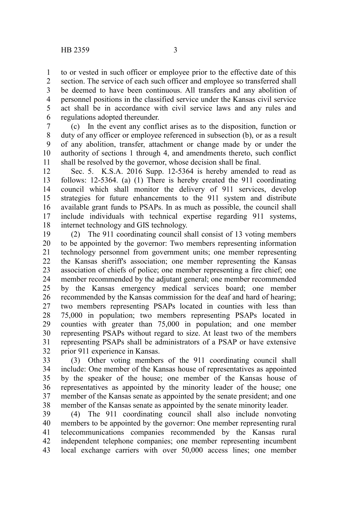to or vested in such officer or employee prior to the effective date of this section. The service of each such officer and employee so transferred shall be deemed to have been continuous. All transfers and any abolition of personnel positions in the classified service under the Kansas civil service act shall be in accordance with civil service laws and any rules and regulations adopted thereunder. 1 2 3 4 5 6

(c) In the event any conflict arises as to the disposition, function or duty of any officer or employee referenced in subsection (b), or as a result of any abolition, transfer, attachment or change made by or under the authority of sections 1 through 4, and amendments thereto, such conflict shall be resolved by the governor, whose decision shall be final. 7 8 9 10 11

Sec. 5. K.S.A. 2016 Supp. 12-5364 is hereby amended to read as follows: 12-5364. (a) (1) There is hereby created the 911 coordinating council which shall monitor the delivery of 911 services, develop strategies for future enhancements to the 911 system and distribute available grant funds to PSAPs. In as much as possible, the council shall include individuals with technical expertise regarding 911 systems, internet technology and GIS technology. 12 13 14 15 16 17 18

(2) The 911 coordinating council shall consist of 13 voting members to be appointed by the governor: Two members representing information technology personnel from government units; one member representing the Kansas sheriff's association; one member representing the Kansas association of chiefs of police; one member representing a fire chief; one member recommended by the adjutant general; one member recommended by the Kansas emergency medical services board; one member recommended by the Kansas commission for the deaf and hard of hearing; two members representing PSAPs located in counties with less than 75,000 in population; two members representing PSAPs located in counties with greater than 75,000 in population; and one member representing PSAPs without regard to size. At least two of the members representing PSAPs shall be administrators of a PSAP or have extensive prior 911 experience in Kansas. 19 20 21 22 23 24 25 26 27 28 29 30 31 32

(3) Other voting members of the 911 coordinating council shall include: One member of the Kansas house of representatives as appointed by the speaker of the house; one member of the Kansas house of representatives as appointed by the minority leader of the house; one member of the Kansas senate as appointed by the senate president; and one member of the Kansas senate as appointed by the senate minority leader. 33 34 35 36 37 38

(4) The 911 coordinating council shall also include nonvoting members to be appointed by the governor: One member representing rural telecommunications companies recommended by the Kansas rural independent telephone companies; one member representing incumbent local exchange carriers with over 50,000 access lines; one member 39 40 41 42 43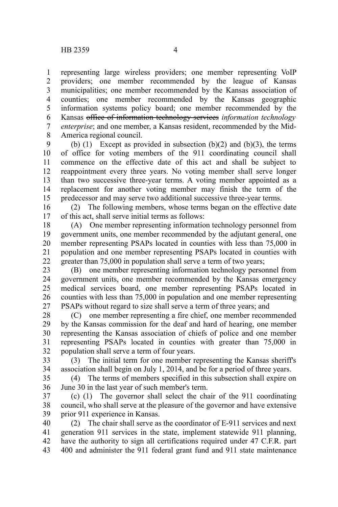representing large wireless providers; one member representing VoIP providers; one member recommended by the league of Kansas municipalities; one member recommended by the Kansas association of counties; one member recommended by the Kansas geographic information systems policy board; one member recommended by the Kansas office of information technology services *information technology enterprise*; and one member, a Kansas resident, recommended by the Mid-America regional council. 1 2 3 4 5 6 7 8

(b) (1) Except as provided in subsection (b)(2) and (b)(3), the terms of office for voting members of the 911 coordinating council shall commence on the effective date of this act and shall be subject to reappointment every three years. No voting member shall serve longer than two successive three-year terms. A voting member appointed as a replacement for another voting member may finish the term of the predecessor and may serve two additional successive three-year terms. 9 10 11 12 13 14 15

(2) The following members, whose terms began on the effective date of this act, shall serve initial terms as follows: 16 17

(A) One member representing information technology personnel from government units, one member recommended by the adjutant general, one member representing PSAPs located in counties with less than 75,000 in population and one member representing PSAPs located in counties with greater than 75,000 in population shall serve a term of two years; 18 19 20 21 22

(B) one member representing information technology personnel from government units, one member recommended by the Kansas emergency medical services board, one member representing PSAPs located in counties with less than 75,000 in population and one member representing PSAPs without regard to size shall serve a term of three years; and 23 24 25 26 27

(C) one member representing a fire chief, one member recommended by the Kansas commission for the deaf and hard of hearing, one member representing the Kansas association of chiefs of police and one member representing PSAPs located in counties with greater than 75,000 in population shall serve a term of four years. 28 29 30 31 32

(3) The initial term for one member representing the Kansas sheriff's association shall begin on July 1, 2014, and be for a period of three years. 33 34

(4) The terms of members specified in this subsection shall expire on June 30 in the last year of such member's term. 35 36

(c) (1) The governor shall select the chair of the 911 coordinating council, who shall serve at the pleasure of the governor and have extensive prior 911 experience in Kansas. 37 38 39

(2) The chair shall serve as the coordinator of E-911 services and next generation 911 services in the state, implement statewide 911 planning, have the authority to sign all certifications required under 47 C.F.R. part 400 and administer the 911 federal grant fund and 911 state maintenance 40 41 42 43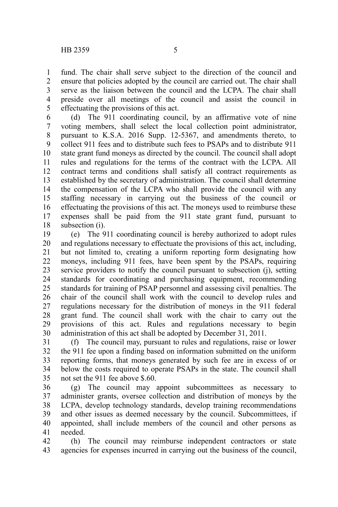fund. The chair shall serve subject to the direction of the council and ensure that policies adopted by the council are carried out. The chair shall serve as the liaison between the council and the LCPA. The chair shall preside over all meetings of the council and assist the council in effectuating the provisions of this act. 1 2 3 4 5

(d) The 911 coordinating council, by an affirmative vote of nine voting members, shall select the local collection point administrator, pursuant to K.S.A. 2016 Supp. 12-5367, and amendments thereto, to collect 911 fees and to distribute such fees to PSAPs and to distribute 911 state grant fund moneys as directed by the council. The council shall adopt rules and regulations for the terms of the contract with the LCPA. All contract terms and conditions shall satisfy all contract requirements as established by the secretary of administration. The council shall determine the compensation of the LCPA who shall provide the council with any staffing necessary in carrying out the business of the council or effectuating the provisions of this act. The moneys used to reimburse these expenses shall be paid from the 911 state grant fund, pursuant to subsection (i). 6 7 8 9 10 11 12 13 14 15 16 17 18

(e) The 911 coordinating council is hereby authorized to adopt rules and regulations necessary to effectuate the provisions of this act, including, but not limited to, creating a uniform reporting form designating how moneys, including 911 fees, have been spent by the PSAPs, requiring service providers to notify the council pursuant to subsection (j), setting standards for coordinating and purchasing equipment, recommending standards for training of PSAP personnel and assessing civil penalties. The chair of the council shall work with the council to develop rules and regulations necessary for the distribution of moneys in the 911 federal grant fund. The council shall work with the chair to carry out the provisions of this act. Rules and regulations necessary to begin administration of this act shall be adopted by December 31, 2011. 19 20 21 22 23 24 25 26 27 28 29 30

(f) The council may, pursuant to rules and regulations, raise or lower the 911 fee upon a finding based on information submitted on the uniform reporting forms, that moneys generated by such fee are in excess of or below the costs required to operate PSAPs in the state. The council shall not set the 911 fee above \$.60. 31 32 33 34 35

(g) The council may appoint subcommittees as necessary to administer grants, oversee collection and distribution of moneys by the LCPA, develop technology standards, develop training recommendations and other issues as deemed necessary by the council. Subcommittees, if appointed, shall include members of the council and other persons as needed. 36 37 38 39 40 41

(h) The council may reimburse independent contractors or state agencies for expenses incurred in carrying out the business of the council, 42 43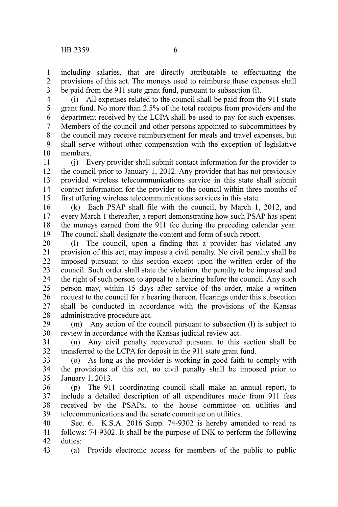including salaries, that are directly attributable to effectuating the provisions of this act. The moneys used to reimburse these expenses shall be paid from the 911 state grant fund, pursuant to subsection (i). 1 2 3

(i) All expenses related to the council shall be paid from the 911 state grant fund. No more than 2.5% of the total receipts from providers and the department received by the LCPA shall be used to pay for such expenses. Members of the council and other persons appointed to subcommittees by 4 5 6 7

the council may receive reimbursement for meals and travel expenses, but shall serve without other compensation with the exception of legislative members. 8 9 10

(j) Every provider shall submit contact information for the provider to the council prior to January 1, 2012. Any provider that has not previously provided wireless telecommunications service in this state shall submit contact information for the provider to the council within three months of first offering wireless telecommunications services in this state. 11 12 13 14 15

(k) Each PSAP shall file with the council, by March 1, 2012, and every March 1 thereafter, a report demonstrating how such PSAP has spent the moneys earned from the 911 fee during the preceding calendar year. The council shall designate the content and form of such report. 16 17 18 19

(l) The council, upon a finding that a provider has violated any provision of this act, may impose a civil penalty. No civil penalty shall be imposed pursuant to this section except upon the written order of the council. Such order shall state the violation, the penalty to be imposed and the right of such person to appeal to a hearing before the council. Any such person may, within 15 days after service of the order, make a written request to the council for a hearing thereon. Hearings under this subsection shall be conducted in accordance with the provisions of the Kansas administrative procedure act. 20 21 22 23 24 25 26 27 28

(m) Any action of the council pursuant to subsection (l) is subject to review in accordance with the Kansas judicial review act. 29 30

(n) Any civil penalty recovered pursuant to this section shall be transferred to the LCPA for deposit in the 911 state grant fund. 31 32

(o) As long as the provider is working in good faith to comply with the provisions of this act, no civil penalty shall be imposed prior to January 1, 2013. 33 34 35

(p) The 911 coordinating council shall make an annual report, to include a detailed description of all expenditures made from 911 fees received by the PSAPs, to the house committee on utilities and telecommunications and the senate committee on utilities. 36 37 38 39

Sec. 6. K.S.A. 2016 Supp. 74-9302 is hereby amended to read as follows: 74-9302. It shall be the purpose of INK to perform the following duties: 40 41 42

(a) Provide electronic access for members of the public to public 43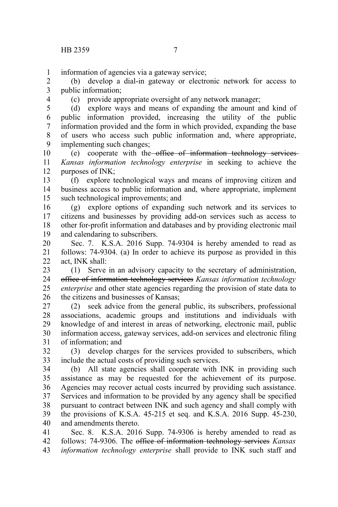information of agencies via a gateway service; 1

(b) develop a dial-in gateway or electronic network for access to public information; 2 3

4

(c) provide appropriate oversight of any network manager;

(d) explore ways and means of expanding the amount and kind of public information provided, increasing the utility of the public information provided and the form in which provided, expanding the base of users who access such public information and, where appropriate, implementing such changes; 5 6 7 8 9

(e) cooperate with the office of information technology services *Kansas information technology enterprise* in seeking to achieve the purposes of INK; 10 11 12

(f) explore technological ways and means of improving citizen and business access to public information and, where appropriate, implement such technological improvements; and 13 14 15

(g) explore options of expanding such network and its services to citizens and businesses by providing add-on services such as access to other for-profit information and databases and by providing electronic mail and calendaring to subscribers. 16 17 18 19

Sec. 7. K.S.A. 2016 Supp. 74-9304 is hereby amended to read as follows: 74-9304. (a) In order to achieve its purpose as provided in this act, INK shall: 20 21 22

(1) Serve in an advisory capacity to the secretary of administration, office of information technology services *Kansas information technology enterprise* and other state agencies regarding the provision of state data to the citizens and businesses of Kansas; 23 24 25 26

(2) seek advice from the general public, its subscribers, professional associations, academic groups and institutions and individuals with knowledge of and interest in areas of networking, electronic mail, public information access, gateway services, add-on services and electronic filing of information; and 27 28 29 30 31

(3) develop charges for the services provided to subscribers, which include the actual costs of providing such services. 32 33

(b) All state agencies shall cooperate with INK in providing such assistance as may be requested for the achievement of its purpose. Agencies may recover actual costs incurred by providing such assistance. Services and information to be provided by any agency shall be specified pursuant to contract between INK and such agency and shall comply with the provisions of K.S.A. 45-215 et seq. and K.S.A. 2016 Supp. 45-230, and amendments thereto. 34 35 36 37 38 39 40

Sec. 8. K.S.A. 2016 Supp. 74-9306 is hereby amended to read as follows: 74-9306. The office of information technology services *Kansas information technology enterprise* shall provide to INK such staff and 41 42 43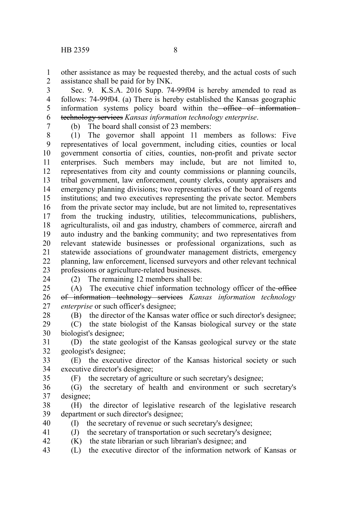other assistance as may be requested thereby, and the actual costs of such assistance shall be paid for by INK. 1 2

Sec. 9. K.S.A. 2016 Supp. 74-99f04 is hereby amended to read as follows: 74-99f04. (a) There is hereby established the Kansas geographic information systems policy board within the office of informationtechnology services *Kansas information technology enterprise*. 3 4 5 6

7

(b) The board shall consist of 23 members:

(1) The governor shall appoint 11 members as follows: Five representatives of local government, including cities, counties or local government consortia of cities, counties, non-profit and private sector enterprises. Such members may include, but are not limited to, representatives from city and county commissions or planning councils, tribal government, law enforcement, county clerks, county appraisers and emergency planning divisions; two representatives of the board of regents institutions; and two executives representing the private sector. Members from the private sector may include, but are not limited to, representatives from the trucking industry, utilities, telecommunications, publishers, agriculturalists, oil and gas industry, chambers of commerce, aircraft and auto industry and the banking community; and two representatives from relevant statewide businesses or professional organizations, such as statewide associations of groundwater management districts, emergency planning, law enforcement, licensed surveyors and other relevant technical professions or agriculture-related businesses. 8 9 10 11 12 13 14 15 16 17 18 19 20 21 22 23

24

(2) The remaining 12 members shall be:

(A) The executive chief information technology officer of the office of information technology services *Kansas information technology enterprise* or such officer's designee; 25 26 27

28

(B) the director of the Kansas water office or such director's designee;

(C) the state biologist of the Kansas biological survey or the state biologist's designee; 29 30

(D) the state geologist of the Kansas geological survey or the state geologist's designee; 31 32

(E) the executive director of the Kansas historical society or such executive director's designee; 33 34

35

40

(F) the secretary of agriculture or such secretary's designee;

(G) the secretary of health and environment or such secretary's designee; 36 37

(H) the director of legislative research of the legislative research department or such director's designee; 38 39

(I) the secretary of revenue or such secretary's designee;

(J) the secretary of transportation or such secretary's designee; 41

(K) the state librarian or such librarian's designee; and 42

(L) the executive director of the information network of Kansas or 43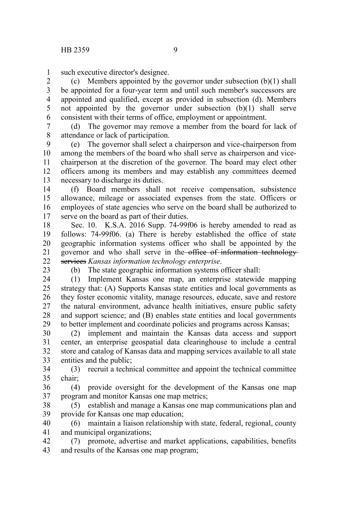such executive director's designee. 1

(c) Members appointed by the governor under subsection  $(b)(1)$  shall be appointed for a four-year term and until such member's successors are appointed and qualified, except as provided in subsection (d). Members not appointed by the governor under subsection (b)(1) shall serve consistent with their terms of office, employment or appointment. 2 3 4 5 6

(d) The governor may remove a member from the board for lack of attendance or lack of participation. 7 8

(e) The governor shall select a chairperson and vice-chairperson from among the members of the board who shall serve as chairperson and vicechairperson at the discretion of the governor. The board may elect other officers among its members and may establish any committees deemed necessary to discharge its duties. 9 10 11 12 13

(f) Board members shall not receive compensation, subsistence allowance, mileage or associated expenses from the state. Officers or employees of state agencies who serve on the board shall be authorized to serve on the board as part of their duties. 14 15 16 17

Sec. 10. K.S.A. 2016 Supp. 74-99f06 is hereby amended to read as follows: 74-99f06. (a) There is hereby established the office of state geographic information systems officer who shall be appointed by the governor and who shall serve in the office of information technologyservices *Kansas information technology enterprise*. 18 19 20 21  $22$ 

23

(b) The state geographic information systems officer shall:

(1) Implement Kansas one map, an enterprise statewide mapping strategy that: (A) Supports Kansas state entities and local governments as they foster economic vitality, manage resources, educate, save and restore the natural environment, advance health initiatives, ensure public safety and support science; and (B) enables state entities and local governments to better implement and coordinate policies and programs across Kansas; 24 25 26 27 28 29

(2) implement and maintain the Kansas data access and support center, an enterprise geospatial data clearinghouse to include a central store and catalog of Kansas data and mapping services available to all state entities and the public; 30 31 32 33

(3) recruit a technical committee and appoint the technical committee chair; 34 35

(4) provide oversight for the development of the Kansas one map program and monitor Kansas one map metrics; 36 37

(5) establish and manage a Kansas one map communications plan and provide for Kansas one map education; 38 39

(6) maintain a liaison relationship with state, federal, regional, county and municipal organizations; 40 41

(7) promote, advertise and market applications, capabilities, benefits and results of the Kansas one map program; 42 43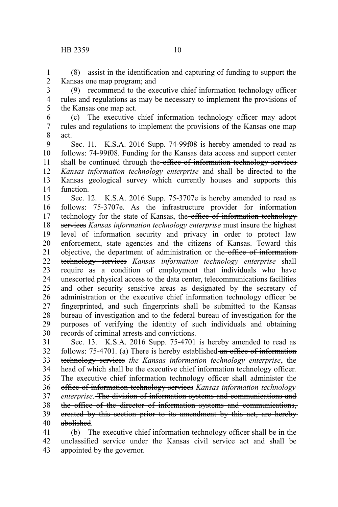(8) assist in the identification and capturing of funding to support the Kansas one map program; and 1 2

(9) recommend to the executive chief information technology officer rules and regulations as may be necessary to implement the provisions of the Kansas one map act. 3 4 5

(c) The executive chief information technology officer may adopt rules and regulations to implement the provisions of the Kansas one map act. 6 7 8

Sec. 11. K.S.A. 2016 Supp. 74-99f08 is hereby amended to read as follows: 74-99f08. Funding for the Kansas data access and support center shall be continued through the office of information technology services *Kansas information technology enterprise* and shall be directed to the Kansas geological survey which currently houses and supports this function. 9 10 11 12 13 14

Sec. 12. K.S.A. 2016 Supp. 75-3707e is hereby amended to read as follows: 75-3707e. As the infrastructure provider for information technology for the state of Kansas, the office of information technology services *Kansas information technology enterprise* must insure the highest level of information security and privacy in order to protect law enforcement, state agencies and the citizens of Kansas. Toward this objective, the department of administration or the office of informationtechnology services *Kansas information technology enterprise* shall require as a condition of employment that individuals who have unescorted physical access to the data center, telecommunications facilities and other security sensitive areas as designated by the secretary of administration or the executive chief information technology officer be fingerprinted, and such fingerprints shall be submitted to the Kansas bureau of investigation and to the federal bureau of investigation for the purposes of verifying the identity of such individuals and obtaining records of criminal arrests and convictions. 15 16 17 18 19 20 21 22 23 24 25 26 27 28 29 30

Sec. 13. K.S.A. 2016 Supp. 75-4701 is hereby amended to read as follows: 75-4701. (a) There is hereby established an office of information technology services *the Kansas information technology enterprise*, the head of which shall be the executive chief information technology officer. The executive chief information technology officer shall administer the office of information technology services *Kansas information technology enterprise*. The division of information systems and communications and the office of the director of information systems and communications, created by this section prior to its amendment by this act, are hereby abolished. 31 32 33 34 35 36 37 38 39 40

(b) The executive chief information technology officer shall be in the unclassified service under the Kansas civil service act and shall be appointed by the governor. 41 42 43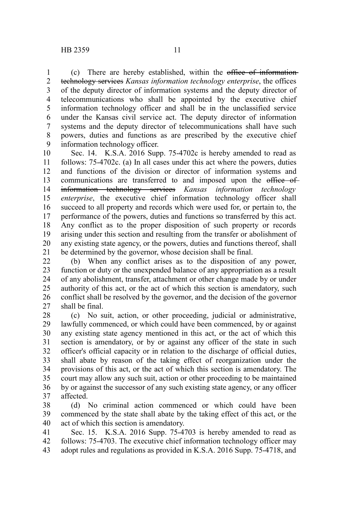(c) There are hereby established, within the office of information technology services *Kansas information technology enterprise*, the offices of the deputy director of information systems and the deputy director of telecommunications who shall be appointed by the executive chief information technology officer and shall be in the unclassified service under the Kansas civil service act. The deputy director of information systems and the deputy director of telecommunications shall have such powers, duties and functions as are prescribed by the executive chief information technology officer. 1 2 3 4 5 6 7 8 9

Sec. 14. K.S.A. 2016 Supp. 75-4702c is hereby amended to read as follows: 75-4702c. (a) In all cases under this act where the powers, duties and functions of the division or director of information systems and communications are transferred to and imposed upon the office of information technology services *Kansas information technology enterprise*, the executive chief information technology officer shall succeed to all property and records which were used for, or pertain to, the performance of the powers, duties and functions so transferred by this act. Any conflict as to the proper disposition of such property or records arising under this section and resulting from the transfer or abolishment of any existing state agency, or the powers, duties and functions thereof, shall be determined by the governor, whose decision shall be final. 10 11 12 13 14 15 16 17 18 19 20 21

(b) When any conflict arises as to the disposition of any power, function or duty or the unexpended balance of any appropriation as a result of any abolishment, transfer, attachment or other change made by or under authority of this act, or the act of which this section is amendatory, such conflict shall be resolved by the governor, and the decision of the governor shall be final. 22 23 24 25 26 27

(c) No suit, action, or other proceeding, judicial or administrative, lawfully commenced, or which could have been commenced, by or against any existing state agency mentioned in this act, or the act of which this section is amendatory, or by or against any officer of the state in such officer's official capacity or in relation to the discharge of official duties, shall abate by reason of the taking effect of reorganization under the provisions of this act, or the act of which this section is amendatory. The court may allow any such suit, action or other proceeding to be maintained by or against the successor of any such existing state agency, or any officer affected. 28 29 30 31 32 33 34 35 36 37

(d) No criminal action commenced or which could have been commenced by the state shall abate by the taking effect of this act, or the act of which this section is amendatory. 38 39 40

Sec. 15. K.S.A. 2016 Supp. 75-4703 is hereby amended to read as follows: 75-4703. The executive chief information technology officer may adopt rules and regulations as provided in K.S.A. 2016 Supp. 75-4718, and 41 42 43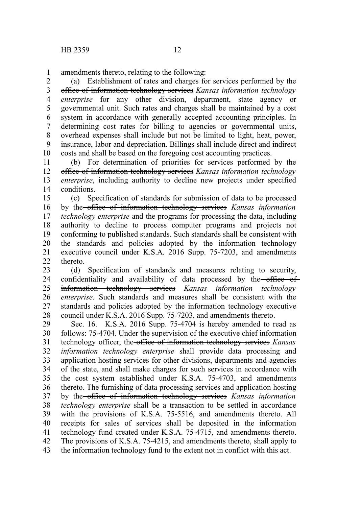amendments thereto, relating to the following: 1

(a) Establishment of rates and charges for services performed by the office of information technology services *Kansas information technology enterprise* for any other division, department, state agency or governmental unit. Such rates and charges shall be maintained by a cost system in accordance with generally accepted accounting principles. In determining cost rates for billing to agencies or governmental units, overhead expenses shall include but not be limited to light, heat, power, insurance, labor and depreciation. Billings shall include direct and indirect costs and shall be based on the foregoing cost accounting practices. 2 3 4 5 6 7 8 9 10

(b) For determination of priorities for services performed by the office of information technology services *Kansas information technology enterprise*, including authority to decline new projects under specified conditions. 11 12 13 14

(c) Specification of standards for submission of data to be processed by the office of information technology services *Kansas information technology enterprise* and the programs for processing the data, including authority to decline to process computer programs and projects not conforming to published standards. Such standards shall be consistent with the standards and policies adopted by the information technology executive council under K.S.A. 2016 Supp. 75-7203, and amendments thereto. 15 16 17 18 19 20 21  $22$ 

(d) Specification of standards and measures relating to security, confidentiality and availability of data processed by the office of information technology services *Kansas information technology enterprise*. Such standards and measures shall be consistent with the standards and policies adopted by the information technology executive council under K.S.A. 2016 Supp. 75-7203, and amendments thereto. 23 24 25 26 27 28

Sec. 16. K.S.A. 2016 Supp. 75-4704 is hereby amended to read as follows: 75-4704. Under the supervision of the executive chief information technology officer, the office of information technology services *Kansas information technology enterprise* shall provide data processing and application hosting services for other divisions, departments and agencies of the state, and shall make charges for such services in accordance with the cost system established under K.S.A. 75-4703, and amendments thereto. The furnishing of data processing services and application hosting by the office of information technology services *Kansas information technology enterprise* shall be a transaction to be settled in accordance with the provisions of K.S.A. 75-5516, and amendments thereto. All receipts for sales of services shall be deposited in the information technology fund created under K.S.A. 75-4715, and amendments thereto. The provisions of K.S.A. 75-4215, and amendments thereto, shall apply to the information technology fund to the extent not in conflict with this act. 29 30 31 32 33 34 35 36 37 38 39 40 41 42 43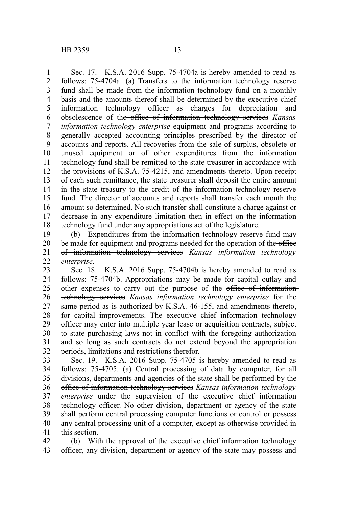Sec. 17. K.S.A. 2016 Supp. 75-4704a is hereby amended to read as follows: 75-4704a. (a) Transfers to the information technology reserve fund shall be made from the information technology fund on a monthly basis and the amounts thereof shall be determined by the executive chief information technology officer as charges for depreciation and obsolescence of the office of information technology services *Kansas information technology enterprise* equipment and programs according to generally accepted accounting principles prescribed by the director of accounts and reports. All recoveries from the sale of surplus, obsolete or unused equipment or of other expenditures from the information technology fund shall be remitted to the state treasurer in accordance with the provisions of K.S.A. 75-4215, and amendments thereto. Upon receipt of each such remittance, the state treasurer shall deposit the entire amount in the state treasury to the credit of the information technology reserve fund. The director of accounts and reports shall transfer each month the amount so determined. No such transfer shall constitute a charge against or decrease in any expenditure limitation then in effect on the information technology fund under any appropriations act of the legislature. 1 2 3 4 5 6 7 8 9 10 11 12 13 14 15 16 17 18

(b) Expenditures from the information technology reserve fund may be made for equipment and programs needed for the operation of the office of information technology services *Kansas information technology enterprise*. 19 20 21 22

Sec. 18. K.S.A. 2016 Supp. 75-4704b is hereby amended to read as follows: 75-4704b. Appropriations may be made for capital outlay and other expenses to carry out the purpose of the office of informationtechnology services *Kansas information technology enterprise* for the same period as is authorized by K.S.A. 46-155, and amendments thereto, for capital improvements. The executive chief information technology officer may enter into multiple year lease or acquisition contracts, subject to state purchasing laws not in conflict with the foregoing authorization and so long as such contracts do not extend beyond the appropriation periods, limitations and restrictions therefor. 23 24 25 26 27 28 29 30 31 32

Sec. 19. K.S.A. 2016 Supp. 75-4705 is hereby amended to read as follows: 75-4705. (a) Central processing of data by computer, for all divisions, departments and agencies of the state shall be performed by the office of information technology services *Kansas information technology enterprise* under the supervision of the executive chief information technology officer. No other division, department or agency of the state shall perform central processing computer functions or control or possess any central processing unit of a computer, except as otherwise provided in this section. 33 34 35 36 37 38 39 40 41

(b) With the approval of the executive chief information technology officer, any division, department or agency of the state may possess and 42 43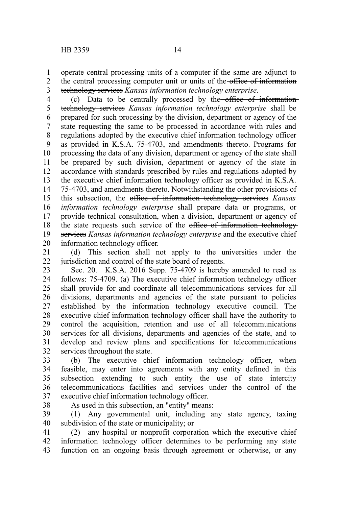operate central processing units of a computer if the same are adjunct to the central processing computer unit or units of the office of information technology services *Kansas information technology enterprise*. 1 2 3

(c) Data to be centrally processed by the office of informationtechnology services *Kansas information technology enterprise* shall be prepared for such processing by the division, department or agency of the state requesting the same to be processed in accordance with rules and regulations adopted by the executive chief information technology officer as provided in K.S.A. 75-4703, and amendments thereto. Programs for processing the data of any division, department or agency of the state shall be prepared by such division, department or agency of the state in accordance with standards prescribed by rules and regulations adopted by the executive chief information technology officer as provided in K.S.A. 75-4703, and amendments thereto. Notwithstanding the other provisions of this subsection, the office of information technology services *Kansas information technology enterprise* shall prepare data or programs, or provide technical consultation, when a division, department or agency of the state requests such service of the office of information technologyservices *Kansas information technology enterprise* and the executive chief information technology officer. 4 5 6 7 8 9 10 11 12 13 14 15 16 17 18 19 20

(d) This section shall not apply to the universities under the jurisdiction and control of the state board of regents. 21 22

Sec. 20. K.S.A. 2016 Supp. 75-4709 is hereby amended to read as follows: 75-4709. (a) The executive chief information technology officer shall provide for and coordinate all telecommunications services for all divisions, departments and agencies of the state pursuant to policies established by the information technology executive council. The executive chief information technology officer shall have the authority to control the acquisition, retention and use of all telecommunications services for all divisions, departments and agencies of the state, and to develop and review plans and specifications for telecommunications services throughout the state. 23 24 25 26 27 28 29 30 31 32

(b) The executive chief information technology officer, when feasible, may enter into agreements with any entity defined in this subsection extending to such entity the use of state intercity telecommunications facilities and services under the control of the executive chief information technology officer. 33 34 35 36 37

38

As used in this subsection, an "entity" means:

(1) Any governmental unit, including any state agency, taxing subdivision of the state or municipality; or 39 40

(2) any hospital or nonprofit corporation which the executive chief information technology officer determines to be performing any state function on an ongoing basis through agreement or otherwise, or any 41 42 43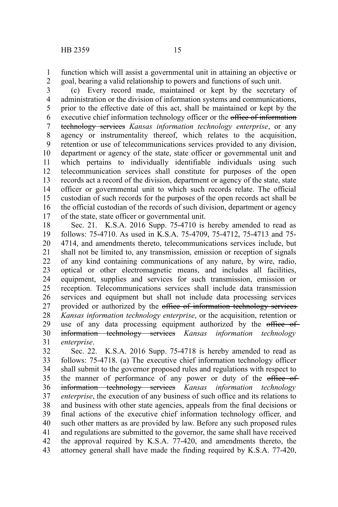function which will assist a governmental unit in attaining an objective or goal, bearing a valid relationship to powers and functions of such unit. 1 2

(c) Every record made, maintained or kept by the secretary of administration or the division of information systems and communications, prior to the effective date of this act, shall be maintained or kept by the executive chief information technology officer or the office of information technology services *Kansas information technology enterprise*, or any agency or instrumentality thereof, which relates to the acquisition, retention or use of telecommunications services provided to any division, department or agency of the state, state officer or governmental unit and which pertains to individually identifiable individuals using such telecommunication services shall constitute for purposes of the open records act a record of the division, department or agency of the state, state officer or governmental unit to which such records relate. The official custodian of such records for the purposes of the open records act shall be the official custodian of the records of such division, department or agency of the state, state officer or governmental unit. 3 4 5 6 7 8 9 10 11 12 13 14 15 16 17

Sec. 21. K.S.A. 2016 Supp. 75-4710 is hereby amended to read as follows: 75-4710. As used in K.S.A. 75-4709, 75-4712, 75-4713 and 75- 4714, and amendments thereto, telecommunications services include, but shall not be limited to, any transmission, emission or reception of signals of any kind containing communications of any nature, by wire, radio, optical or other electromagnetic means, and includes all facilities, equipment, supplies and services for such transmission, emission or reception. Telecommunications services shall include data transmission services and equipment but shall not include data processing services provided or authorized by the office of information technology services *Kansas information technology enterprise*, or the acquisition, retention or use of any data processing equipment authorized by the office of information technology services *Kansas information technology enterprise*. 18 19 20 21 22 23 24 25 26 27 28 29 30 31

Sec. 22. K.S.A. 2016 Supp. 75-4718 is hereby amended to read as follows: 75-4718. (a) The executive chief information technology officer shall submit to the governor proposed rules and regulations with respect to the manner of performance of any power or duty of the office of information technology services *Kansas information technology enterprise*, the execution of any business of such office and its relations to and business with other state agencies, appeals from the final decisions or final actions of the executive chief information technology officer, and such other matters as are provided by law. Before any such proposed rules and regulations are submitted to the governor, the same shall have received the approval required by K.S.A. 77-420, and amendments thereto, the attorney general shall have made the finding required by K.S.A. 77-420, 32 33 34 35 36 37 38 39 40 41 42 43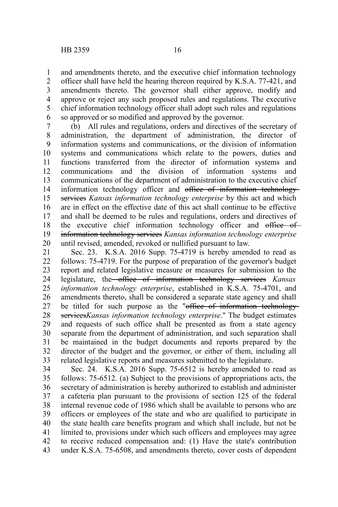and amendments thereto, and the executive chief information technology officer shall have held the hearing thereon required by K.S.A. 77-421, and amendments thereto. The governor shall either approve, modify and approve or reject any such proposed rules and regulations. The executive chief information technology officer shall adopt such rules and regulations so approved or so modified and approved by the governor.

(b) All rules and regulations, orders and directives of the secretary of administration, the department of administration, the director of information systems and communications, or the division of information systems and communications which relate to the powers, duties and functions transferred from the director of information systems and communications and the division of information systems and communications of the department of administration to the executive chief information technology officer and office of information technologyservices *Kansas information technology enterprise* by this act and which are in effect on the effective date of this act shall continue to be effective and shall be deemed to be rules and regulations, orders and directives of the executive chief information technology officer and office of information technology services *Kansas information technology enterprise* until revised, amended, revoked or nullified pursuant to law. 7 8 9 10 11 12 13 14 15 16 17 18 19 20

Sec. 23. K.S.A. 2016 Supp. 75-4719 is hereby amended to read as follows: 75-4719. For the purpose of preparation of the governor's budget report and related legislative measure or measures for submission to the legislature, the office of information technology services *Kansas information technology enterprise*, established in K.S.A. 75-4701, and amendments thereto, shall be considered a separate state agency and shall be titled for such purpose as the "office of information technologyservices*Kansas information technology enterprise*." The budget estimates and requests of such office shall be presented as from a state agency separate from the department of administration, and such separation shall be maintained in the budget documents and reports prepared by the director of the budget and the governor, or either of them, including all related legislative reports and measures submitted to the legislature. 21 22 23 24 25 26 27 28 29 30 31 32 33

Sec. 24. K.S.A. 2016 Supp. 75-6512 is hereby amended to read as follows: 75-6512. (a) Subject to the provisions of appropriations acts, the secretary of administration is hereby authorized to establish and administer a cafeteria plan pursuant to the provisions of section 125 of the federal internal revenue code of 1986 which shall be available to persons who are officers or employees of the state and who are qualified to participate in the state health care benefits program and which shall include, but not be limited to, provisions under which such officers and employees may agree to receive reduced compensation and: (1) Have the state's contribution under K.S.A. 75-6508, and amendments thereto, cover costs of dependent 34 35 36 37 38 39 40 41 42 43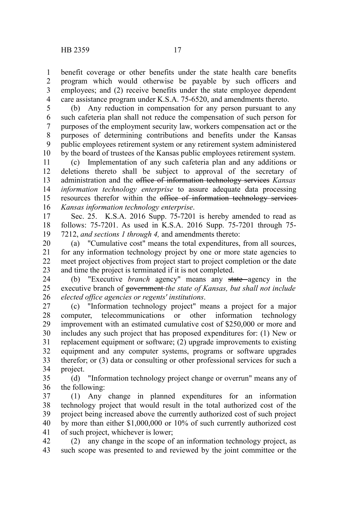benefit coverage or other benefits under the state health care benefits program which would otherwise be payable by such officers and employees; and (2) receive benefits under the state employee dependent care assistance program under K.S.A. 75-6520, and amendments thereto. 1 2 3 4

(b) Any reduction in compensation for any person pursuant to any such cafeteria plan shall not reduce the compensation of such person for purposes of the employment security law, workers compensation act or the purposes of determining contributions and benefits under the Kansas public employees retirement system or any retirement system administered by the board of trustees of the Kansas public employees retirement system. 5 6 7 8 9 10

(c) Implementation of any such cafeteria plan and any additions or deletions thereto shall be subject to approval of the secretary of administration and the office of information technology services *Kansas information technology enterprise* to assure adequate data processing resources therefor within the office of information technology services *Kansas information technology enterprise*. 11 12 13 14 15 16

Sec. 25. K.S.A. 2016 Supp. 75-7201 is hereby amended to read as follows: 75-7201. As used in K.S.A. 2016 Supp. 75-7201 through 75- 7212, *and sections 1 through 4,* and amendments thereto: 17 18 19

(a) "Cumulative cost" means the total expenditures, from all sources, for any information technology project by one or more state agencies to meet project objectives from project start to project completion or the date and time the project is terminated if it is not completed. 20 21 22 23

(b) "Executive *branch* agency" means any state agency in the executive branch of government *the state of Kansas, but shall not include elected office agencies or regents' institutions*. 24 25 26

(c) "Information technology project" means a project for a major computer, telecommunications or other information technology improvement with an estimated cumulative cost of \$250,000 or more and includes any such project that has proposed expenditures for: (1) New or replacement equipment or software; (2) upgrade improvements to existing equipment and any computer systems, programs or software upgrades therefor; or (3) data or consulting or other professional services for such a project. 27 28 29 30 31 32 33 34

(d) "Information technology project change or overrun" means any of the following: 35 36

(1) Any change in planned expenditures for an information technology project that would result in the total authorized cost of the project being increased above the currently authorized cost of such project by more than either \$1,000,000 or 10% of such currently authorized cost of such project, whichever is lower; 37 38 39 40 41

(2) any change in the scope of an information technology project, as such scope was presented to and reviewed by the joint committee or the 42 43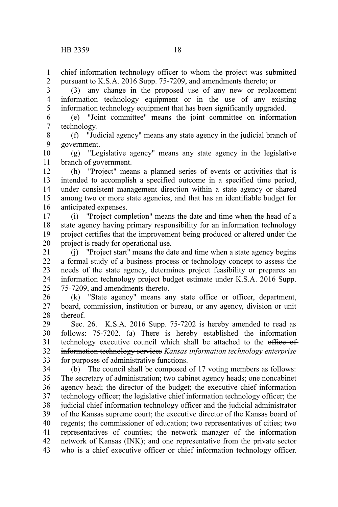chief information technology officer to whom the project was submitted pursuant to K.S.A. 2016 Supp. 75-7209, and amendments thereto; or 1 2

(3) any change in the proposed use of any new or replacement information technology equipment or in the use of any existing information technology equipment that has been significantly upgraded. 3 4 5

(e) "Joint committee" means the joint committee on information technology. 6 7

(f) "Judicial agency" means any state agency in the judicial branch of government. 8 9

(g) "Legislative agency" means any state agency in the legislative branch of government. 10 11

(h) "Project" means a planned series of events or activities that is intended to accomplish a specified outcome in a specified time period, under consistent management direction within a state agency or shared among two or more state agencies, and that has an identifiable budget for anticipated expenses. 12 13 14 15 16

(i) "Project completion" means the date and time when the head of a state agency having primary responsibility for an information technology project certifies that the improvement being produced or altered under the project is ready for operational use. 17 18 19 20

(j) "Project start" means the date and time when a state agency begins a formal study of a business process or technology concept to assess the needs of the state agency, determines project feasibility or prepares an information technology project budget estimate under K.S.A. 2016 Supp. 75-7209, and amendments thereto. 21 22 23 24 25

(k) "State agency" means any state office or officer, department, board, commission, institution or bureau, or any agency, division or unit thereof. 26 27 28

Sec. 26. K.S.A. 2016 Supp. 75-7202 is hereby amended to read as follows: 75-7202. (a) There is hereby established the information technology executive council which shall be attached to the office of information technology services *Kansas information technology enterprise* for purposes of administrative functions. 29 30 31 32 33

(b) The council shall be composed of 17 voting members as follows: The secretary of administration; two cabinet agency heads; one noncabinet agency head; the director of the budget; the executive chief information technology officer; the legislative chief information technology officer; the judicial chief information technology officer and the judicial administrator of the Kansas supreme court; the executive director of the Kansas board of regents; the commissioner of education; two representatives of cities; two representatives of counties; the network manager of the information network of Kansas (INK); and one representative from the private sector who is a chief executive officer or chief information technology officer. 34 35 36 37 38 39 40 41 42 43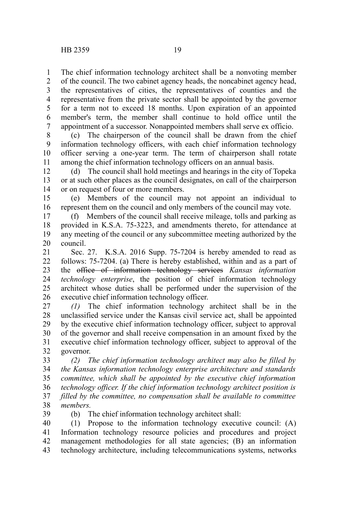The chief information technology architect shall be a nonvoting member 1

of the council. The two cabinet agency heads, the noncabinet agency head, the representatives of cities, the representatives of counties and the representative from the private sector shall be appointed by the governor for a term not to exceed 18 months. Upon expiration of an appointed member's term, the member shall continue to hold office until the appointment of a successor. Nonappointed members shall serve ex officio. 2 3 4 5 6 7

(c) The chairperson of the council shall be drawn from the chief information technology officers, with each chief information technology officer serving a one-year term. The term of chairperson shall rotate among the chief information technology officers on an annual basis. 8 9 10 11

(d) The council shall hold meetings and hearings in the city of Topeka or at such other places as the council designates, on call of the chairperson or on request of four or more members. 12 13 14

(e) Members of the council may not appoint an individual to represent them on the council and only members of the council may vote. 15 16

(f) Members of the council shall receive mileage, tolls and parking as provided in K.S.A. 75-3223, and amendments thereto, for attendance at any meeting of the council or any subcommittee meeting authorized by the council. 17 18 19 20

Sec. 27. K.S.A. 2016 Supp. 75-7204 is hereby amended to read as follows: 75-7204. (a) There is hereby established, within and as a part of the office of information technology services *Kansas information technology enterprise*, the position of chief information technology architect whose duties shall be performed under the supervision of the executive chief information technology officer. 21 22 23 24 25 26

*(1)* The chief information technology architect shall be in the unclassified service under the Kansas civil service act, shall be appointed by the executive chief information technology officer, subject to approval of the governor and shall receive compensation in an amount fixed by the executive chief information technology officer, subject to approval of the governor. 27 28 29 30 31 32

*(2) The chief information technology architect may also be filled by the Kansas information technology enterprise architecture and standards committee, which shall be appointed by the executive chief information technology officer. If the chief information technology architect position is filled by the committee, no compensation shall be available to committee members.*  33 34 35 36 37 38

39

(b) The chief information technology architect shall:

(1) Propose to the information technology executive council: (A) Information technology resource policies and procedures and project management methodologies for all state agencies; (B) an information technology architecture, including telecommunications systems, networks 40 41 42 43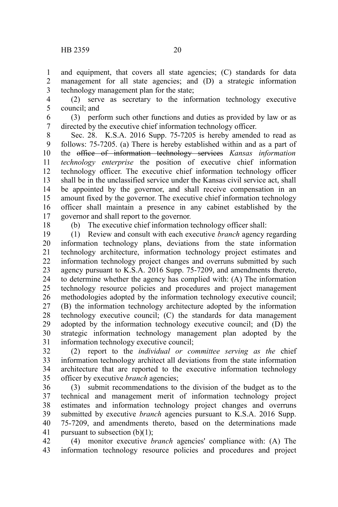and equipment, that covers all state agencies; (C) standards for data management for all state agencies; and (D) a strategic information technology management plan for the state; 1 2 3

(2) serve as secretary to the information technology executive council; and 4 5

(3) perform such other functions and duties as provided by law or as directed by the executive chief information technology officer. 6 7

Sec. 28. K.S.A. 2016 Supp. 75-7205 is hereby amended to read as follows: 75-7205. (a) There is hereby established within and as a part of the office of information technology services *Kansas information technology enterprise* the position of executive chief information technology officer. The executive chief information technology officer shall be in the unclassified service under the Kansas civil service act, shall be appointed by the governor, and shall receive compensation in an amount fixed by the governor. The executive chief information technology officer shall maintain a presence in any cabinet established by the governor and shall report to the governor. 8 9 10 11 12 13 14 15 16 17

18

(b) The executive chief information technology officer shall:

(1) Review and consult with each executive *branch* agency regarding information technology plans, deviations from the state information technology architecture, information technology project estimates and information technology project changes and overruns submitted by such agency pursuant to K.S.A. 2016 Supp. 75-7209, and amendments thereto, to determine whether the agency has complied with: (A) The information technology resource policies and procedures and project management methodologies adopted by the information technology executive council; (B) the information technology architecture adopted by the information technology executive council; (C) the standards for data management adopted by the information technology executive council; and (D) the strategic information technology management plan adopted by the information technology executive council; 19 20 21 22 23 24 25 26 27 28 29 30 31

(2) report to the *individual or committee serving as the* chief information technology architect all deviations from the state information architecture that are reported to the executive information technology officer by executive *branch* agencies; 32 33 34 35

(3) submit recommendations to the division of the budget as to the technical and management merit of information technology project estimates and information technology project changes and overruns submitted by executive *branch* agencies pursuant to K.S.A. 2016 Supp. 75-7209, and amendments thereto, based on the determinations made pursuant to subsection  $(b)(1)$ ; 36 37 38 39 40 41

(4) monitor executive *branch* agencies' compliance with: (A) The information technology resource policies and procedures and project 42 43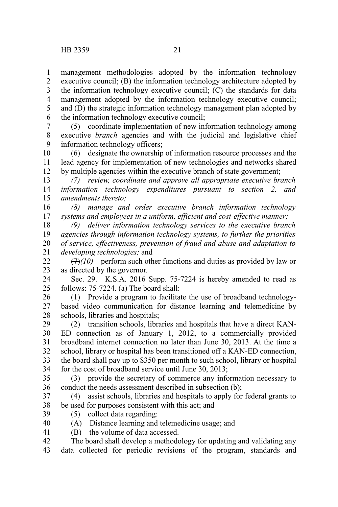management methodologies adopted by the information technology executive council; (B) the information technology architecture adopted by the information technology executive council; (C) the standards for data management adopted by the information technology executive council; and (D) the strategic information technology management plan adopted by the information technology executive council; 1 2 3 4 5 6

(5) coordinate implementation of new information technology among executive *branch* agencies and with the judicial and legislative chief information technology officers; 7 8 9

(6) designate the ownership of information resource processes and the lead agency for implementation of new technologies and networks shared by multiple agencies within the executive branch of state government; 10 11 12

*(7) review, coordinate and approve all appropriate executive branch information technology expenditures pursuant to section 2, and amendments thereto;* 13 14 15

*(8) manage and order executive branch information technology systems and employees in a uniform, efficient and cost-effective manner;*  16 17

*(9) deliver information technology services to the executive branch agencies through information technology systems, to further the priorities of service, effectiveness, prevention of fraud and abuse and adaptation to developing technologies;* and 18 19 20 21

 $(7)$ *(10)* perform such other functions and duties as provided by law or as directed by the governor.  $22$ 23

Sec. 29. K.S.A. 2016 Supp. 75-7224 is hereby amended to read as follows: 75-7224. (a) The board shall: 24  $25$ 

(1) Provide a program to facilitate the use of broadband technologybased video communication for distance learning and telemedicine by schools, libraries and hospitals; 26 27 28

(2) transition schools, libraries and hospitals that have a direct KAN-ED connection as of January 1, 2012, to a commercially provided broadband internet connection no later than June 30, 2013. At the time a school, library or hospital has been transitioned off a KAN-ED connection, the board shall pay up to \$350 per month to such school, library or hospital for the cost of broadband service until June 30, 2013; 29 30 31 32 33 34

(3) provide the secretary of commerce any information necessary to conduct the needs assessment described in subsection (b); 35 36

(4) assist schools, libraries and hospitals to apply for federal grants to be used for purposes consistent with this act; and 37 38

- (5) collect data regarding: 39
- (A) Distance learning and telemedicine usage; and 40
- (B) the volume of data accessed. 41
- The board shall develop a methodology for updating and validating any data collected for periodic revisions of the program, standards and 42 43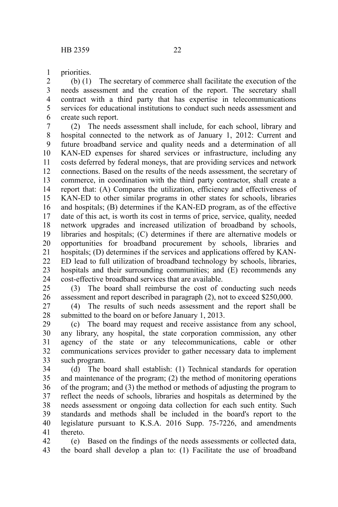priorities. 1

(b) (1) The secretary of commerce shall facilitate the execution of the needs assessment and the creation of the report. The secretary shall contract with a third party that has expertise in telecommunications services for educational institutions to conduct such needs assessment and create such report. 2 3 4 5 6

(2) The needs assessment shall include, for each school, library and hospital connected to the network as of January 1, 2012: Current and future broadband service and quality needs and a determination of all KAN-ED expenses for shared services or infrastructure, including any costs deferred by federal moneys, that are providing services and network connections. Based on the results of the needs assessment, the secretary of commerce, in coordination with the third party contractor, shall create a report that: (A) Compares the utilization, efficiency and effectiveness of KAN-ED to other similar programs in other states for schools, libraries and hospitals; (B) determines if the KAN-ED program, as of the effective date of this act, is worth its cost in terms of price, service, quality, needed network upgrades and increased utilization of broadband by schools, libraries and hospitals; (C) determines if there are alternative models or opportunities for broadband procurement by schools, libraries and hospitals; (D) determines if the services and applications offered by KAN-ED lead to full utilization of broadband technology by schools, libraries, hospitals and their surrounding communities; and  $(E)$  recommends any cost-effective broadband services that are available. 7 8 9 10 11 12 13 14 15 16 17 18 19 20 21 22 23 24

(3) The board shall reimburse the cost of conducting such needs assessment and report described in paragraph (2), not to exceed \$250,000. 25 26

(4) The results of such needs assessment and the report shall be submitted to the board on or before January 1, 2013. 27 28

(c) The board may request and receive assistance from any school, any library, any hospital, the state corporation commission, any other agency of the state or any telecommunications, cable or other communications services provider to gather necessary data to implement such program. 29 30 31 32 33

(d) The board shall establish: (1) Technical standards for operation and maintenance of the program; (2) the method of monitoring operations of the program; and (3) the method or methods of adjusting the program to reflect the needs of schools, libraries and hospitals as determined by the needs assessment or ongoing data collection for each such entity. Such standards and methods shall be included in the board's report to the legislature pursuant to K.S.A. 2016 Supp. 75-7226, and amendments thereto. 34 35 36 37 38 39 40 41

(e) Based on the findings of the needs assessments or collected data, the board shall develop a plan to: (1) Facilitate the use of broadband 42 43